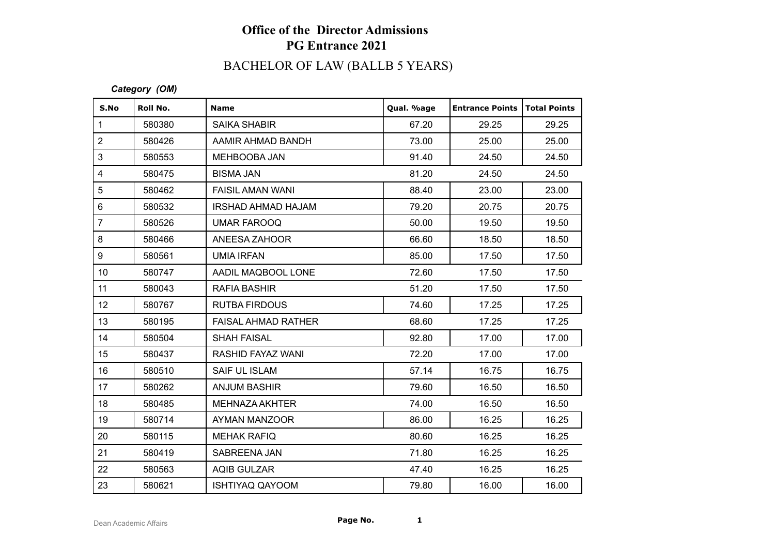## **Office of the Director Admissions PG Entrance 2021**

# BACHELOR OF LAW (BALLB 5 YEARS)

#### *Category (OM)*

| S.No            | Roll No. | <b>Name</b>                | Qual. %age | <b>Entrance Points</b> | <b>Total Points</b> |
|-----------------|----------|----------------------------|------------|------------------------|---------------------|
| $\mathbf{1}$    | 580380   | <b>SAIKA SHABIR</b>        | 67.20      | 29.25                  | 29.25               |
| $\overline{2}$  | 580426   | AAMIR AHMAD BANDH          | 73.00      | 25.00                  | 25.00               |
| 3               | 580553   | MEHBOOBA JAN               | 91.40      | 24.50                  | 24.50               |
| $\overline{4}$  | 580475   | <b>BISMA JAN</b>           | 81.20      | 24.50                  | 24.50               |
| 5               | 580462   | <b>FAISIL AMAN WANI</b>    | 88.40      | 23.00                  | 23.00               |
| $\,6\,$         | 580532   | IRSHAD AHMAD HAJAM         | 79.20      | 20.75                  | 20.75               |
| $\overline{7}$  | 580526   | <b>UMAR FAROOQ</b>         | 50.00      | 19.50                  | 19.50               |
| 8               | 580466   | ANEESA ZAHOOR              | 66.60      | 18.50                  | 18.50               |
| 9               | 580561   | <b>UMIA IRFAN</b>          | 85.00      | 17.50                  | 17.50               |
| 10 <sup>1</sup> | 580747   | AADIL MAQBOOL LONE         | 72.60      | 17.50                  | 17.50               |
| 11              | 580043   | <b>RAFIA BASHIR</b>        | 51.20      | 17.50                  | 17.50               |
| 12 <sub>2</sub> | 580767   | <b>RUTBA FIRDOUS</b>       | 74.60      | 17.25                  | 17.25               |
| 13              | 580195   | <b>FAISAL AHMAD RATHER</b> | 68.60      | 17.25                  | 17.25               |
| 14              | 580504   | <b>SHAH FAISAL</b>         | 92.80      | 17.00                  | 17.00               |
| 15              | 580437   | RASHID FAYAZ WANI          | 72.20      | 17.00                  | 17.00               |
| 16              | 580510   | <b>SAIF UL ISLAM</b>       | 57.14      | 16.75                  | 16.75               |
| 17              | 580262   | <b>ANJUM BASHIR</b>        | 79.60      | 16.50                  | 16.50               |
| 18              | 580485   | MEHNAZA AKHTER             | 74.00      | 16.50                  | 16.50               |
| 19              | 580714   | AYMAN MANZOOR              | 86.00      | 16.25                  | 16.25               |
| 20              | 580115   | <b>MEHAK RAFIQ</b>         | 80.60      | 16.25                  | 16.25               |
| 21              | 580419   | SABREENA JAN               | 71.80      | 16.25                  | 16.25               |
| 22              | 580563   | <b>AQIB GULZAR</b>         | 47.40      | 16.25                  | 16.25               |
| 23              | 580621   | <b>ISHTIYAQ QAYOOM</b>     | 79.80      | 16.00                  | 16.00               |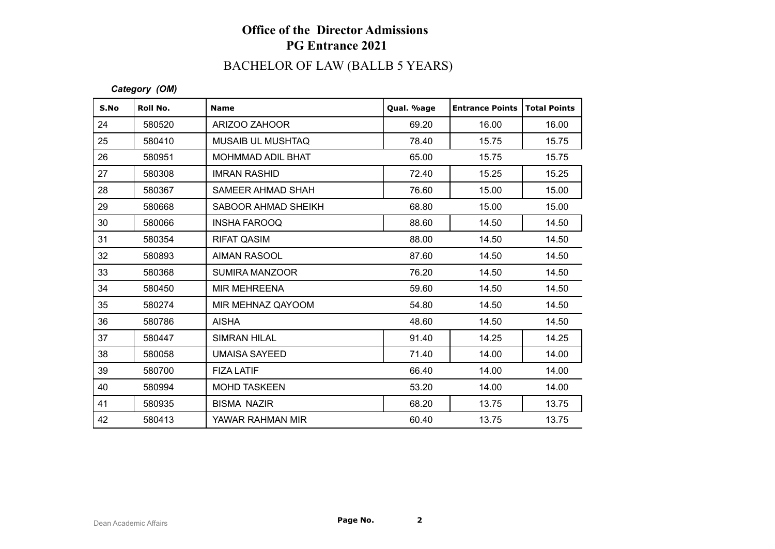## **Office of the Director Admissions PG Entrance 2021**

# BACHELOR OF LAW (BALLB 5 YEARS)

#### *Category (OM)*

| S.No | Roll No. | <b>Name</b>              | Qual. %age | <b>Entrance Points</b> | <b>Total Points</b> |
|------|----------|--------------------------|------------|------------------------|---------------------|
| 24   | 580520   | ARIZOO ZAHOOR            | 69.20      | 16.00                  | 16.00               |
| 25   | 580410   | <b>MUSAIB UL MUSHTAQ</b> | 78.40      | 15.75                  | 15.75               |
| 26   | 580951   | <b>MOHMMAD ADIL BHAT</b> | 65.00      | 15.75                  | 15.75               |
| 27   | 580308   | <b>IMRAN RASHID</b>      | 72.40      | 15.25                  | 15.25               |
| 28   | 580367   | SAMEER AHMAD SHAH        | 76.60      | 15.00                  | 15.00               |
| 29   | 580668   | SABOOR AHMAD SHEIKH      | 68.80      | 15.00                  | 15.00               |
| 30   | 580066   | <b>INSHA FAROOQ</b>      | 88.60      | 14.50                  | 14.50               |
| 31   | 580354   | <b>RIFAT QASIM</b>       | 88.00      | 14.50                  | 14.50               |
| 32   | 580893   | <b>AIMAN RASOOL</b>      | 87.60      | 14.50                  | 14.50               |
| 33   | 580368   | <b>SUMIRA MANZOOR</b>    | 76.20      | 14.50                  | 14.50               |
| 34   | 580450   | <b>MIR MEHREENA</b>      | 59.60      | 14.50                  | 14.50               |
| 35   | 580274   | MIR MEHNAZ QAYOOM        | 54.80      | 14.50                  | 14.50               |
| 36   | 580786   | <b>AISHA</b>             | 48.60      | 14.50                  | 14.50               |
| 37   | 580447   | <b>SIMRAN HILAL</b>      | 91.40      | 14.25                  | 14.25               |
| 38   | 580058   | <b>UMAISA SAYEED</b>     | 71.40      | 14.00                  | 14.00               |
| 39   | 580700   | <b>FIZA LATIF</b>        | 66.40      | 14.00                  | 14.00               |
| 40   | 580994   | <b>MOHD TASKEEN</b>      | 53.20      | 14.00                  | 14.00               |
| 41   | 580935   | <b>BISMA NAZIR</b>       | 68.20      | 13.75                  | 13.75               |
| 42   | 580413   | YAWAR RAHMAN MIR         | 60.40      | 13.75                  | 13.75               |